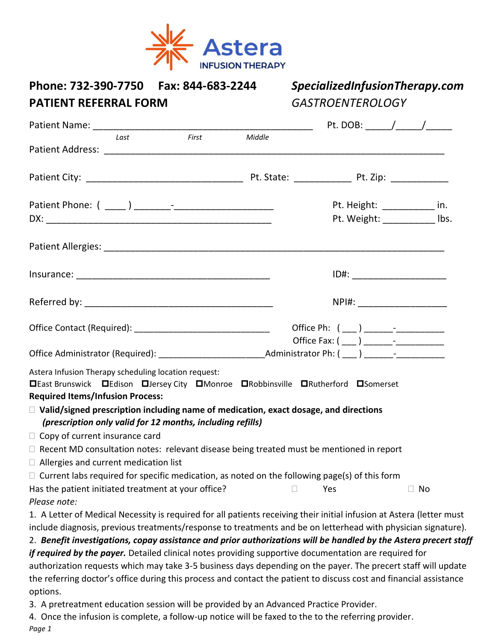

| Phone: 732-390-7750    Fax: 844-683-2244<br><b>PATIENT REFERRAL FORM</b>                                                                                                                                                                                                                                                                                |       |        | SpecializedInfusionTherapy.com<br><b>GASTROENTEROLOGY</b> |                                                                 |  |  |
|---------------------------------------------------------------------------------------------------------------------------------------------------------------------------------------------------------------------------------------------------------------------------------------------------------------------------------------------------------|-------|--------|-----------------------------------------------------------|-----------------------------------------------------------------|--|--|
|                                                                                                                                                                                                                                                                                                                                                         |       |        |                                                           |                                                                 |  |  |
| Last                                                                                                                                                                                                                                                                                                                                                    | First | Middle |                                                           |                                                                 |  |  |
|                                                                                                                                                                                                                                                                                                                                                         |       |        |                                                           |                                                                 |  |  |
|                                                                                                                                                                                                                                                                                                                                                         |       |        |                                                           | Pt. Height: ______________ in.<br>Pt. Weight: ____________ lbs. |  |  |
|                                                                                                                                                                                                                                                                                                                                                         |       |        |                                                           |                                                                 |  |  |
|                                                                                                                                                                                                                                                                                                                                                         |       |        | ID#: __________________________                           |                                                                 |  |  |
|                                                                                                                                                                                                                                                                                                                                                         |       |        |                                                           | NPI#: _________________________                                 |  |  |
|                                                                                                                                                                                                                                                                                                                                                         |       |        |                                                           |                                                                 |  |  |
| Office Administrator (Required): ________________________________Administrator Ph: ( ____ ) _______- -________                                                                                                                                                                                                                                          |       |        |                                                           |                                                                 |  |  |
| Astera Infusion Therapy scheduling location request:<br><b>□East Brunswick □Edison □Jersey City □Monroe □Robbinsville □Rutherford □Somerset</b><br><b>Required Items/Infusion Process:</b><br>$\Box$ Valid/signed prescription including name of medication, exact dosage, and directions<br>(prescription only valid for 12 months, including refills) |       |        |                                                           |                                                                 |  |  |
| $\Box$ Copy of current insurance card                                                                                                                                                                                                                                                                                                                   |       |        |                                                           |                                                                 |  |  |
| $\Box$ Recent MD consultation notes: relevant disease being treated must be mentioned in report<br>$\Box$ Allergies and current medication list                                                                                                                                                                                                         |       |        |                                                           |                                                                 |  |  |
| $\Box$ Current labs required for specific medication, as noted on the following page(s) of this form<br>Has the patient initiated treatment at your office?<br>Please note:                                                                                                                                                                             |       |        | Yes                                                       | $\Box$ No                                                       |  |  |
| 1. A Letter of Medical Necessity is required for all patients receiving their initial infusion at Astera (letter must<br>include diagnosis, previous treatments/response to treatments and be on letterhead with physician signature).                                                                                                                  |       |        |                                                           |                                                                 |  |  |
| 2. Benefit investigations, copay assistance and prior authorizations will be handled by the Astera precert staff                                                                                                                                                                                                                                        |       |        |                                                           |                                                                 |  |  |
| if required by the payer. Detailed clinical notes providing supportive documentation are required for                                                                                                                                                                                                                                                   |       |        |                                                           |                                                                 |  |  |
| authorization requests which may take 3-5 business days depending on the payer. The precert staff will update<br>the referring doctor's office during this process and contact the patient to discuss cost and financial assistance<br>options.                                                                                                         |       |        |                                                           |                                                                 |  |  |
| 3. A pretreatment education session will be provided by an Advanced Practice Provider.                                                                                                                                                                                                                                                                  |       |        |                                                           |                                                                 |  |  |
| 4. Once the infusion is complete, a follow-up notice will be faxed to the to the referring provider.                                                                                                                                                                                                                                                    |       |        |                                                           |                                                                 |  |  |

*Page 1*